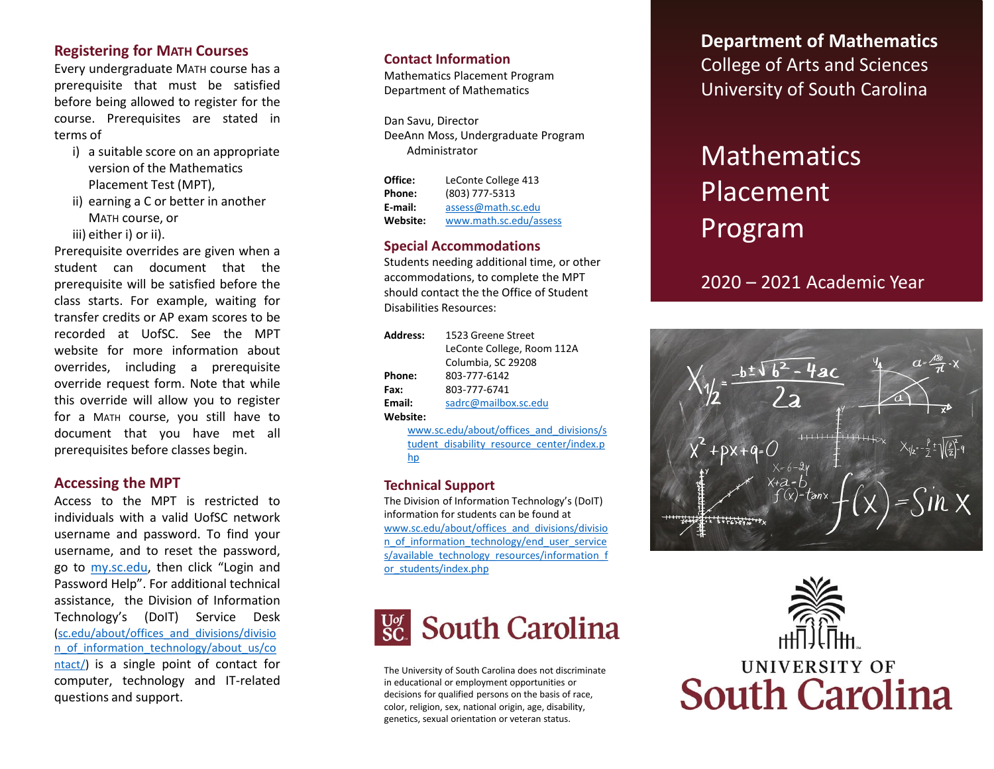## **Registering for MATH Courses**

Every undergraduate MATH course has a prerequisite that must be satisfied before being allowed to register for the course . Prerequisites are stated in terms of

- i) a suitable score on an appropriate version of the Mathematics Placement Test (MPT),
- ii) earning a C or better in another MATH course, or

iii) either i) or ii).

Prerequisite overrides are given when a student can document that the prerequisite will be satisfied before the class starts . For example, waiting for transfer credits or AP exam scores to be recorded at UofSC . See the MPT website for more information about overrides, including a prerequisite override request form . Note that while this override will allow you to register for a MATH course, you still have to document that you have met all prerequisites before classes begin .

#### **Accessing the MPT**

Access to the MPT is restricted to individuals with a valid UofSC network username and password . To find your username, and to reset the password, go to <u>my.sc[.edu](http://my.sc.edu/)</u>, then click "Login and Password Help" . For additional technical assistance, the Division of Information Technology's (DoIT ) Service Desk (sc .edu/about/offices\_and\_divisions/divisio [n\\_of\\_information\\_technology/about\\_us/co](https://sc.edu/about/offices_and_divisions/division_of_information_technology/about_us/contact/) ntact/) is a single point of contact for computer, technology and IT -related questions and support .

#### **Contact Information**

Mathematics Placement Program Department of Mathematics

Dan Savu, Director DeeAnn Moss, Undergraduate Program Administrator

| Office:  | LeConte College 413    |  |  |
|----------|------------------------|--|--|
| Phone:   | (803) 777-5313         |  |  |
| E-mail:  | assess@math.sc.edu     |  |  |
| Website: | www.math.sc.edu/assess |  |  |

#### **Special Accommodations**

Students needing additional time, or other accommodations, to complete the MPT should contact the the Office of Student Disabilities Resources:

| Address: | 1523 Greene Street         |  |  |
|----------|----------------------------|--|--|
|          | LeConte College, Room 112A |  |  |
|          | Columbia, SC 29208         |  |  |
| Phone:   | 803-777-6142               |  |  |
| Fax:     | 803-777-6741               |  |  |
| Email:   | sadrc@mailbox.sc.edu       |  |  |
| Website: |                            |  |  |

www .sc .edu/about/offices\_and\_divisions/s [tudent\\_disability\\_resource\\_center/index](https://www.sc.edu/about/offices_and_divisions/student_disability_resource_center/index.php) . p hp

#### **Technical Support**

The Division of Information Technology's (DoIT) information for students can be found at www.sc.edu/about/offices\_and\_divisions/divisio n\_of\_information\_technology/end\_user\_service [s/available\\_technology\\_resources/information\\_f](https://sc.edu/about/offices_and_divisions/division_of_information_technology/end_user_services/available_technology_resources/information_for_students/index.php) or\_students/index.php



The University of South Carolina does not discriminate in educational or employment opportunities or decisions for qualified persons on the basis of race, color, religion, sex, national origin, age, disability, genetics, sexual orientation or veteran status.

**Department of Mathematics** College of Arts and Sciences University of South Carolina

# **Mathematics** Placement Program

2020 – 2021 Academic Year

 $tau$ anx